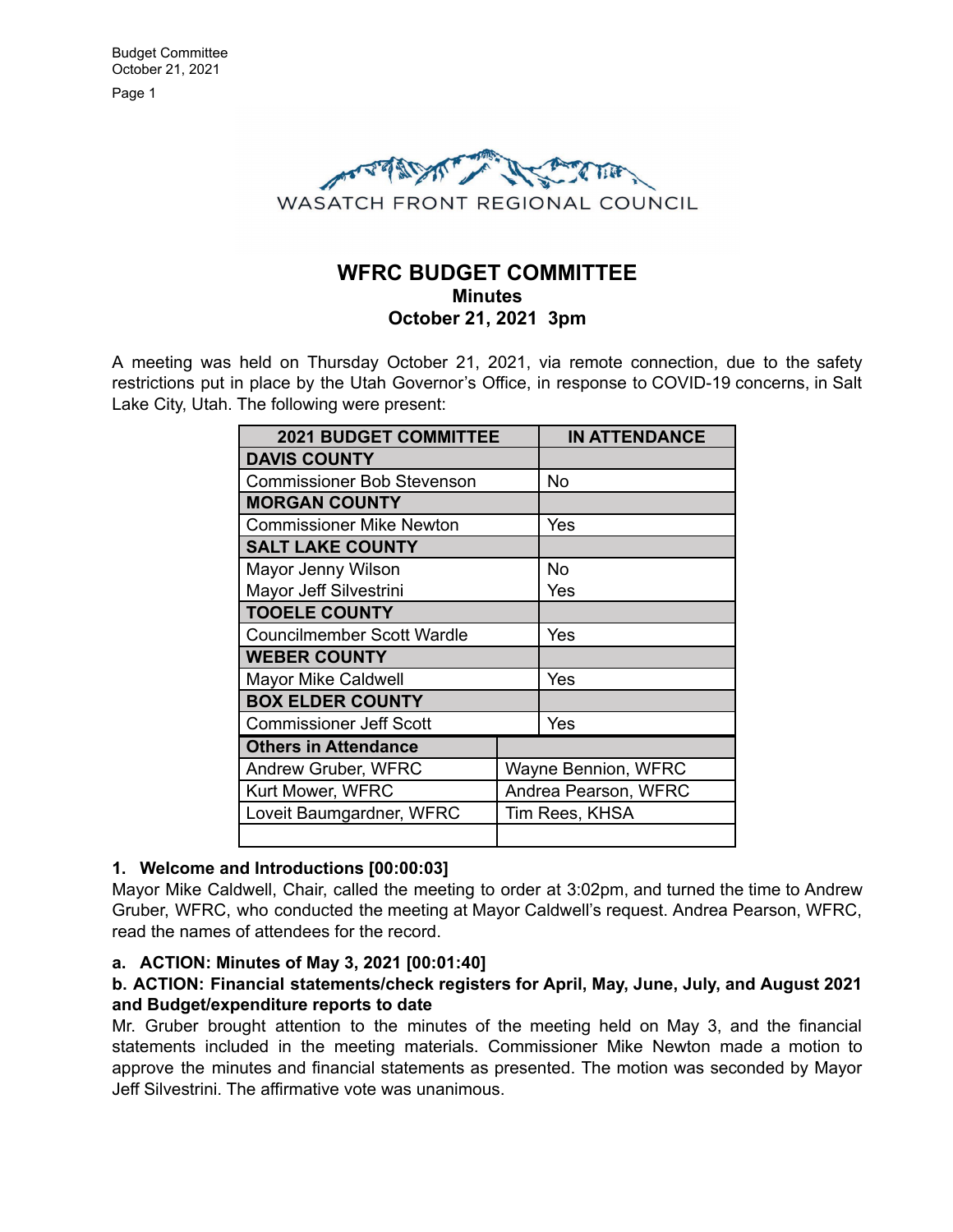

# **WFRC BUDGET COMMITTEE Minutes October 21, 2021 3pm**

A meeting was held on Thursday October 21, 2021, via remote connection, due to the safety restrictions put in place by the Utah Governor's Office, in response to COVID-19 concerns, in Salt Lake City, Utah. The following were present:

| <b>2021 BUDGET COMMITTEE</b>      |                      | <b>IN ATTENDANCE</b> |
|-----------------------------------|----------------------|----------------------|
| <b>DAVIS COUNTY</b>               |                      |                      |
| <b>Commissioner Bob Stevenson</b> |                      | No                   |
| <b>MORGAN COUNTY</b>              |                      |                      |
| <b>Commissioner Mike Newton</b>   |                      | Yes                  |
| <b>SALT LAKE COUNTY</b>           |                      |                      |
| Mayor Jenny Wilson                |                      | No                   |
| Mayor Jeff Silvestrini            |                      | Yes                  |
| <b>TOOELE COUNTY</b>              |                      |                      |
| <b>Councilmember Scott Wardle</b> |                      | Yes                  |
| <b>WEBER COUNTY</b>               |                      |                      |
| <b>Mayor Mike Caldwell</b>        |                      | Yes                  |
| <b>BOX ELDER COUNTY</b>           |                      |                      |
| <b>Commissioner Jeff Scott</b>    |                      | Yes                  |
| <b>Others in Attendance</b>       |                      |                      |
| Andrew Gruber, WFRC               | Wayne Bennion, WFRC  |                      |
| Kurt Mower, WFRC                  | Andrea Pearson, WFRC |                      |
| Loveit Baumgardner, WFRC          | Tim Rees, KHSA       |                      |
|                                   |                      |                      |

## **1. Welcome and Introductions [00:00:03]**

Mayor Mike Caldwell, Chair, called the meeting to order at 3:02pm, and turned the time to Andrew Gruber, WFRC, who conducted the meeting at Mayor Caldwell's request. Andrea Pearson, WFRC, read the names of attendees for the record.

## **a. ACTION: Minutes of May 3, 2021 [00:01:40]**

## **b. ACTION: Financial statements/check registers for April, May, June, July, and August 2021 and Budget/expenditure reports to date**

Mr. Gruber brought attention to the minutes of the meeting held on May 3, and the financial statements included in the meeting materials. Commissioner Mike Newton made a motion to approve the minutes and financial statements as presented. The motion was seconded by Mayor Jeff Silvestrini. The affirmative vote was unanimous.